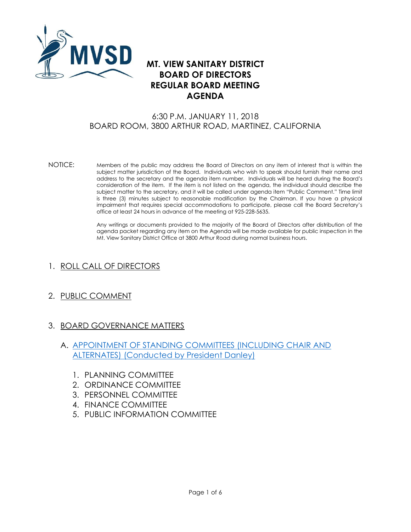

# **MT. VIEW SANITARY DISTRICT BOARD OF DIRECTORS REGULAR BOARD MEETING AGENDA**

### 6:30 P.M. JANUARY 11, 2018 BOARD ROOM, 3800 ARTHUR ROAD, MARTINEZ, CALIFORNIA

NOTICE: Members of the public may address the Board of Directors on any item of interest that is within the subject matter jurisdiction of the Board. Individuals who wish to speak should furnish their name and address to the secretary and the agenda item number. Individuals will be heard during the Board's consideration of the item. If the item is not listed on the agenda, the individual should describe the subject matter to the secretary, and it will be called under agenda item "Public Comment." Time limit is three (3) minutes subject to reasonable modification by the Chairman. If you have a physical impairment that requires special accommodations to participate, please call the Board Secretary's office at least 24 hours in advance of the meeting at 925-228-5635.

> Any writings or documents provided to the majority of the Board of Directors after distribution of the agenda packet regarding any item on the Agenda will be made available for public inspection in the Mt. View Sanitary District Office at 3800 Arthur Road during normal business hours.

- 1. ROLL CALL OF DIRECTORS
- 2. PUBLIC COMMENT
- 3. BOARD GOVERNANCE MATTERS
	- A. [APPOINTMENT OF STANDING COMMITTEES \(INCLUDING CHAIR AND](http://mvsd.org/wp-content/uploads/2018/01/2018-1-11-ITEM-3A.pdf)  [ALTERNATES\) \(Conducted by President Danley\)](http://mvsd.org/wp-content/uploads/2018/01/2018-1-11-ITEM-3A.pdf)
		- 1. PLANNING COMMITTEE
		- 2. ORDINANCE COMMITTEE
		- 3. PERSONNEL COMMITTEE
		- 4. FINANCE COMMITTEE
		- 5. PUBLIC INFORMATION COMMITTEE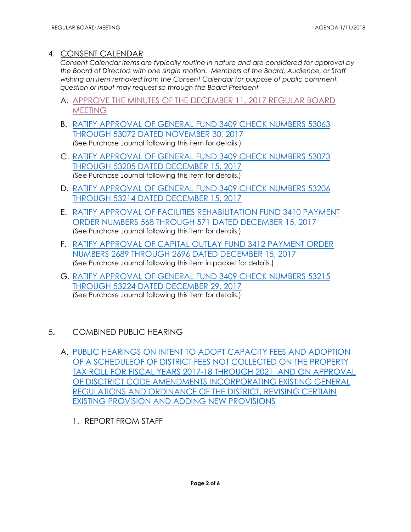### 4. CONSENT CALENDAR

*Consent Calendar items are typically routine in nature and are considered for approval by the Board of Directors with one single motion. Members of the Board, Audience, or Staff wishing an item removed from the Consent Calendar for purpose of public comment, question or input may request so through the Board President*

- A. APPROVE [THE MINUTES OF THE DECEMBER 11, 2017 REGULAR BOARD](http://mvsd.org/wp-content/uploads/2018/01/2018-1-11-ITEM-4A.pdf)  **[MEETING](http://mvsd.org/wp-content/uploads/2018/01/2018-1-11-ITEM-4A.pdf)**
- B. [RATIFY APPROVAL OF GENERAL FUND 3409 CHECK NUMBERS 53063](http://mvsd.org/wp-content/uploads/2018/01/2018-1-11-ITEM-4B.pdf) [THROUGH 53072 DATED NOVEMBER 30, 2017](http://mvsd.org/wp-content/uploads/2018/01/2018-1-11-ITEM-4B.pdf) (See Purchase Journal following this item for details.)
- C. [RATIFY APPROVAL OF GENERAL FUND 3409 CHECK NUMBERS 53073](http://mvsd.org/wp-content/uploads/2018/01/2018-1-11-ITEM-4C.pdf) THROUGH 53205 [DATED DECEMBER](http://mvsd.org/wp-content/uploads/2018/01/2018-1-11-ITEM-4C.pdf) 15, 2017 (See Purchase Journal following this item for details.)
- D. [RATIFY APPROVAL OF GENERAL FUND 3409 CHECK NUMBERS 53206](http://mvsd.org/wp-content/uploads/2018/01/2018-1-11-ITEM-4D.pdf) THROUGH 53214 [DATED DECEMBER 15, 2017](http://mvsd.org/wp-content/uploads/2018/01/2018-1-11-ITEM-4D.pdf)
- E. [RATIFY APPROVAL OF FACILITIES REHABILITATION FUND 3410 PAYMENT](http://mvsd.org/wp-content/uploads/2018/01/2018-1-11-ITEM-4E.pdf)  [ORDER NUMBERS 568](http://mvsd.org/wp-content/uploads/2018/01/2018-1-11-ITEM-4E.pdf) THROUGH 571 DATED DECEMBER 15, 2017 (See Purchase Journal following this item for details.)
- F. [RATIFY APPROVAL OF CAPITAL OUTLAY FUND 3412 PAYMENT ORDER](http://mvsd.org/wp-content/uploads/2018/01/2018-1-11-ITEM-4F.pdf)  NUMBERS 2689 THROUGH 2696 [DATED DECEMBER](http://mvsd.org/wp-content/uploads/2018/01/2018-1-11-ITEM-4F.pdf) 15, 2017 (See Purchase Journal following this item in packet for details.)
- G. [RATIFY APPROVAL OF GENERAL FUND 3409 CHECK NUMBERS 53215](http://mvsd.org/wp-content/uploads/2018/01/2018-1-11-ITEM-4G.pdf) THROUGH 53224 [DATED DECEMBER 29, 2017](http://mvsd.org/wp-content/uploads/2018/01/2018-1-11-ITEM-4G.pdf) (See Purchase Journal following this item for details.)

## 5**.** COMBINED PUBLIC HEARING

- A. [PUBLIC HEARINGS ON INTENT TO ADOPT CAPACITY FEES AND ADOPTION](http://mvsd.org/wp-content/uploads/2018/01/2018-11-18-ITEM-5A.pdf)  [OF A SCHEDULEOF OF DISTRICT FEES NOT COLLECTED ON THE PROPERTY](http://mvsd.org/wp-content/uploads/2018/01/2018-11-18-ITEM-5A.pdf)  [TAX ROLL FOR FISCAL YEARS 2017-18 THROUGH 2021](http://mvsd.org/wp-content/uploads/2018/01/2018-11-18-ITEM-5A.pdf) AND ON APPROVAL [OF DISCTRICT CODE AMENDMENTS INCORPORATING EXISTING GENERAL](http://mvsd.org/wp-content/uploads/2018/01/2018-11-18-ITEM-5A.pdf)  [REGULATIONS AND ORDINANCE OF THE DISTRICT, REVISING CERTIAIN](http://mvsd.org/wp-content/uploads/2018/01/2018-11-18-ITEM-5A.pdf)  [EXISTING PROVISION AND ADDING NEW PROVISIONS](http://mvsd.org/wp-content/uploads/2018/01/2018-11-18-ITEM-5A.pdf)
	- 1. REPORT FROM STAFF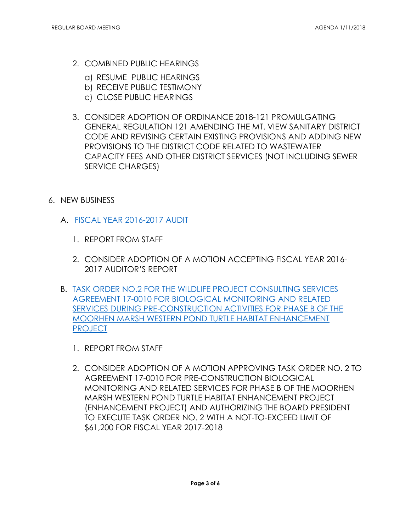- 2. COMBINED PUBLIC HEARINGS
	- a) RESUME PUBLIC HEARINGS
	- b) RECEIVE PUBLIC TESTIMONY
	- c) CLOSE PUBLIC HEARINGS
- 3. CONSIDER ADOPTION OF ORDINANCE 2018-121 PROMULGATING GENERAL REGULATION 121 AMENDING THE MT. VIEW SANITARY DISTRICT CODE AND REVISING CERTAIN EXISTING PROVISIONS AND ADDING NEW PROVISIONS TO THE DISTRICT CODE RELATED TO WASTEWATER CAPACITY FEES AND OTHER DISTRICT SERVICES (NOT INCLUDING SEWER SERVICE CHARGES)
- 6. NEW BUSINESS
	- A. [FISCAL YEAR 2016-2017 AUDIT](http://mvsd.org/wp-content/uploads/2018/01/2018-1-11-ITEM-6A.pdf)
		- 1. REPORT FROM STAFF
		- 2. CONSIDER ADOPTION OF A MOTION ACCEPTING FISCAL YEAR 2016- 2017 AUDITOR'S REPORT
	- B. [TASK ORDER NO.2 FOR THE WILDLIFE PROJECT CONSULTING SERVICES](http://mvsd.org/wp-content/uploads/2018/01/2018-1-11-ITEM-6B.pdf)  [AGREEMENT 17-0010 FOR BIOLOGICAL MONITORING AND RELATED](http://mvsd.org/wp-content/uploads/2018/01/2018-1-11-ITEM-6B.pdf)  [SERVICES DURING PRE-CONSTRUCTION ACTIVITIES FOR PHASE B OF THE](http://mvsd.org/wp-content/uploads/2018/01/2018-1-11-ITEM-6B.pdf)  [MOORHEN MARSH WESTERN POND TURTLE HABITAT ENHANCEMENT](http://mvsd.org/wp-content/uploads/2018/01/2018-1-11-ITEM-6B.pdf)  [PROJECT](http://mvsd.org/wp-content/uploads/2018/01/2018-1-11-ITEM-6B.pdf)
		- 1. REPORT FROM STAFF
		- 2. CONSIDER ADOPTION OF A MOTION APPROVING TASK ORDER NO. 2 TO AGREEMENT 17-0010 FOR PRE-CONSTRUCTION BIOLOGICAL MONITORING AND RELATED SERVICES FOR PHASE B OF THE MOORHEN MARSH WESTERN POND TURTLE HABITAT ENHANCEMENT PROJECT (ENHANCEMENT PROJECT) AND AUTHORIZING THE BOARD PRESIDENT TO EXECUTE TASK ORDER NO. 2 WITH A NOT-TO-EXCEED LIMIT OF \$61,200 FOR FISCAL YEAR 2017-2018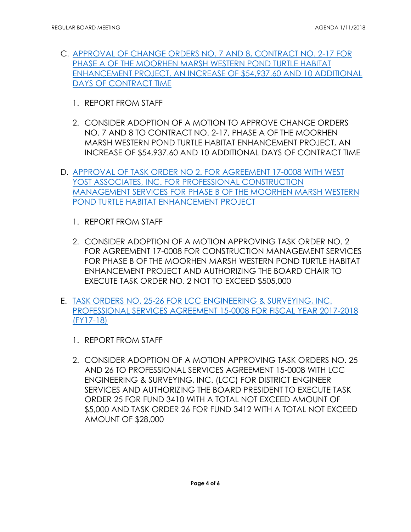- C. [APPROVAL OF CHANGE ORDERS NO. 7 AND 8, CONTRACT NO. 2-17 FOR](http://mvsd.org/wp-content/uploads/2018/01/20181-11-ITEM-6C.pdf)  [PHASE A OF THE MOORHEN MARSH WESTERN POND TURTLE HABITAT](http://mvsd.org/wp-content/uploads/2018/01/20181-11-ITEM-6C.pdf)  [ENHANCEMENT PROJECT, AN INCREASE OF \\$54,937.60 AND 10 ADDITIONAL](http://mvsd.org/wp-content/uploads/2018/01/20181-11-ITEM-6C.pdf) [DAYS OF CONTRACT TIME](http://mvsd.org/wp-content/uploads/2018/01/20181-11-ITEM-6C.pdf)
	- 1. REPORT FROM STAFF
	- 2. CONSIDER ADOPTION OF A MOTION TO APPROVE CHANGE ORDERS NO. 7 AND 8 TO CONTRACT NO. 2-17, PHASE A OF THE MOORHEN MARSH WESTERN POND TURTLE HABITAT ENHANCEMENT PROJECT, AN INCREASE OF \$54,937.60 AND 10 ADDITIONAL DAYS OF CONTRACT TIME
- D. [APPROVAL OF TASK ORDER NO 2. FOR AGREEMENT 17-0008 WITH WEST](http://mvsd.org/wp-content/uploads/2018/01/2018-1-11-ITEM-6D.pdf)  [YOST ASSOCIATES, INC. FOR PROFESSIONAL CONSTRUCTION](http://mvsd.org/wp-content/uploads/2018/01/2018-1-11-ITEM-6D.pdf)  [MANAGEMENT SERVICES FOR PHASE B OF THE MOORHEN MARSH WESTERN](http://mvsd.org/wp-content/uploads/2018/01/2018-1-11-ITEM-6D.pdf)  [POND TURTLE HABITAT ENHANCEMENT PROJECT](http://mvsd.org/wp-content/uploads/2018/01/2018-1-11-ITEM-6D.pdf)
	- 1. REPORT FROM STAFF
	- 2. CONSIDER ADOPTION OF A MOTION APPROVING TASK ORDER NO. 2 FOR AGREEMENT 17-0008 FOR CONSTRUCTION MANAGEMENT SERVICES FOR PHASE B OF THE MOORHEN MARSH WESTERN POND TURTLE HABITAT ENHANCEMENT PROJECT AND AUTHORIZING THE BOARD CHAIR TO EXECUTE TASK ORDER NO. 2 NOT TO EXCEED \$505,000
- E. [TASK ORDERS NO. 25-26 FOR LCC ENGINEERING & SURVEYING, INC.](http://mvsd.org/wp-content/uploads/2018/01/2018-1-11-ITEM-6E.pdf)  [PROFESSIONAL SERVICES AGREEMENT 15-0008 FOR FISCAL YEAR 2017-2018](http://mvsd.org/wp-content/uploads/2018/01/2018-1-11-ITEM-6E.pdf)  [\(FY17-18\)](http://mvsd.org/wp-content/uploads/2018/01/2018-1-11-ITEM-6E.pdf)
	- 1. REPORT FROM STAFF
	- 2. CONSIDER ADOPTION OF A MOTION APPROVING TASK ORDERS NO. 25 AND 26 TO PROFESSIONAL SERVICES AGREEMENT 15-0008 WITH LCC ENGINEERING & SURVEYING, INC. (LCC) FOR DISTRICT ENGINEER SERVICES AND AUTHORIZING THE BOARD PRESIDENT TO EXECUTE TASK ORDER 25 FOR FUND 3410 WITH A TOTAL NOT EXCEED AMOUNT OF \$5,000 AND TASK ORDER 26 FOR FUND 3412 WITH A TOTAL NOT EXCEED AMOUNT OF \$28,000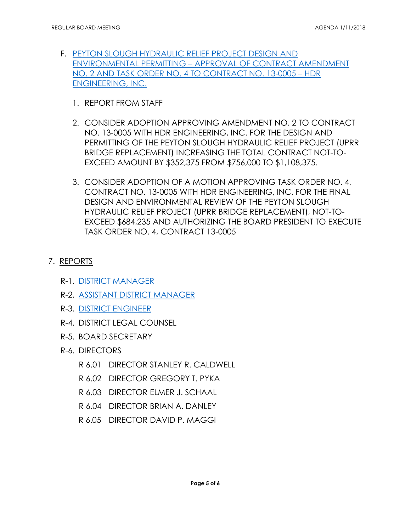- F. [PEYTON SLOUGH HYDRAULIC RELIEF PROJECT DESIGN AND](http://mvsd.org/wp-content/uploads/2018/01/2018-1-11-ITEM-6F.pdf)  [ENVIRONMENTAL PERMITTING](http://mvsd.org/wp-content/uploads/2018/01/2018-1-11-ITEM-6F.pdf) – APPROVAL OF CONTRACT AMENDMENT NO. 2 AND TASK ORDER [NO. 4 TO CONTRACT NO. 13-0005](http://mvsd.org/wp-content/uploads/2018/01/2018-1-11-ITEM-6F.pdf) – HDR [ENGINEERING, INC.](http://mvsd.org/wp-content/uploads/2018/01/2018-1-11-ITEM-6F.pdf)
	- 1. REPORT FROM STAFF
	- 2. CONSIDER ADOPTION APPROVING AMENDMENT NO. 2 TO CONTRACT NO. 13-0005 WITH HDR ENGINEERING, INC. FOR THE DESIGN AND PERMITTING OF THE PEYTON SLOUGH HYDRAULIC RELIEF PROJECT (UPRR BRIDGE REPLACEMENT) INCREASING THE TOTAL CONTRACT NOT-TO-EXCEED AMOUNT BY \$352,375 FROM \$756,000 TO \$1,108,375.
	- 3. CONSIDER ADOPTION OF A MOTION APPROVING TASK ORDER NO. 4, CONTRACT NO. 13-0005 WITH HDR ENGINEERING, INC. FOR THE FINAL DESIGN AND ENVIRONMENTAL REVIEW OF THE PEYTON SLOUGH HYDRAULIC RELIEF PROJECT (UPRR BRIDGE REPLACEMENT), NOT-TO-EXCEED \$684,235 AND AUTHORIZING THE BOARD PRESIDENT TO EXECUTE TASK ORDER NO. 4, CONTRACT 13-0005

## 7. REPORTS

- R-1. [DISTRICT MANAGER](http://mvsd.org/wp-content/uploads/2018/01/2018-1-11-ITEM-7R-1.pdf)
- R-2. [ASSISTANT DISTRICT MANAGER](http://mvsd.org/wp-content/uploads/2018/01/2018-1-11-ITEM-7R-2.pdf)
- R-3. [DISTRICT ENGINEER](http://mvsd.org/wp-content/uploads/2018/01/2018-1-11-ITEM-7R-3.pdf)
- R-4. DISTRICT LEGAL COUNSEL
- R-5. BOARD SECRETARY
- R-6. DIRECTORS
	- R 6.01 DIRECTOR STANLEY R. CALDWELL
	- R 6.02 DIRECTOR GREGORY T. PYKA
	- R 6.03 DIRECTOR ELMER J. SCHAAL
	- R 6.04 DIRECTOR BRIAN A. DANLEY
	- R 6.05 DIRECTOR DAVID P. MAGGI